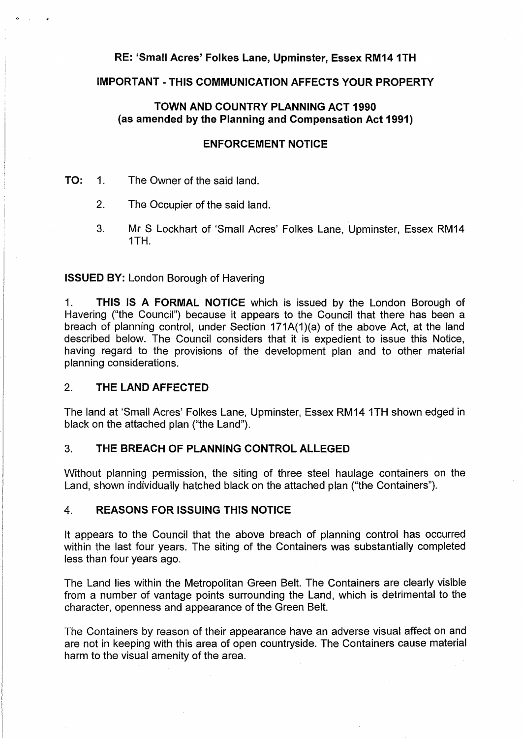# **RE: 'Small Acres' Folkes Lane, Upminster, Essex RM14 1TH**

# **IMPORTANT· THIS COMMUNICATION AFFECTS YOUR PROPERTY**

# **TOWN AND COUNTRY PLANNING ACT 1990 (as amended by the Planning and Compensation Act 1991)**

#### **ENFORCEMENT NOTICE**

- **TO:** 1. The Owner of the said land.
	- 2. The Occupier of the said land.
	- 3. Mr S Lockhart of 'Small Acres' Folkes Lane, Upminster, Essex RM14 1TH.

**ISSUED BY:** London Borough of Havering

1. **THIS JS A FORMAL NOTICE** which is issued by the London Borough of Havering ("the Council") because it appears to the Council that there has been a breach of planning control, under Section 171A(1)(a) of the above Act, at the land described below. The Council considers that it is expedient to issue this Notice, having regard to the provisions of the development plan and to other material planning considerations.

### 2. **THE LAND AFFECTED**

The land at 'Small Acres' Folkes Lane, Upminster, Essex RM14 1TH shown edged in black on the attached plan ("the Land").

### 3. **THE BREACH OF PLANNING CONTROL ALLEGED**

Without planning permission, the siting of three steel haulage containers on the Land, shown individually hatched black on the attached plan ("the Containers").

## 4. **REASONS FOR ISSUING THIS NOTICE**

It appears to the Council that the above breach of planning control has occurred within the last four years. The siting of the Containers was substantially completed less than four years ago.

The Land lies within the Metropolitan Green Belt. The Containers are clearly visible from a number of vantage points surrounding the Land, which is detrimental to the character, openness and appearance of the Green Belt.

The Containers by reason of their appearance have an adverse visual affect on and are not in keeping with this area of open countryside. The Containers cause material harm to the visual amenity of the area.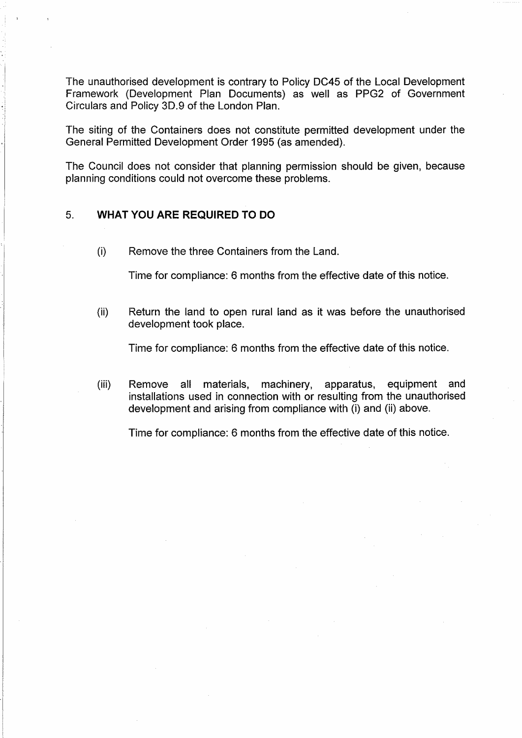The unauthorised development is contrary to Policy DC45 of the Local Development Framework (Development Plan Documents) as well as PPG2 of Government Circulars and Policy 3D.9 of the London Plan.

The siting of the Containers does not constitute permitted development under the General Permitted Development Order 1995 (as amended).

The Council does not consider that planning permission should be given, because planning conditions could not overcome these problems.

# 5. **WHAT YOU ARE REQUIRED TO DO**

(i) Remove the three Containers from the Land.

Time for compliance: 6 months from the effective date of this notice.

(ii) Return the land to open rural land as it was before the unauthorised development took place.

Time for compliance: 6 months from the effective date of this notice.

(iii) Remove all materials, machinery, apparatus, equipment and installations used in connection with or resulting from the unauthorised development and arising from compliance with (i) and (ii) above.

Time for compliance: 6 months from the effective date of this notice.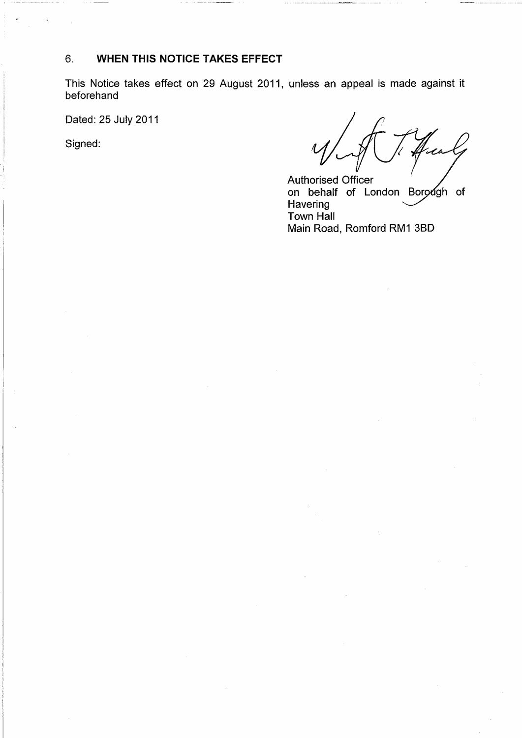# 6. **WHEN THIS NOTICE TAKES EFFECT**

This Notice takes effect on 29 August 2011, unless an appeal is made against it beforehand

Dated: 25 July 2011

Signed:

Authorised Officer on behalf of London Borough of Havering Town Hall Main Road, Romford RM1 38D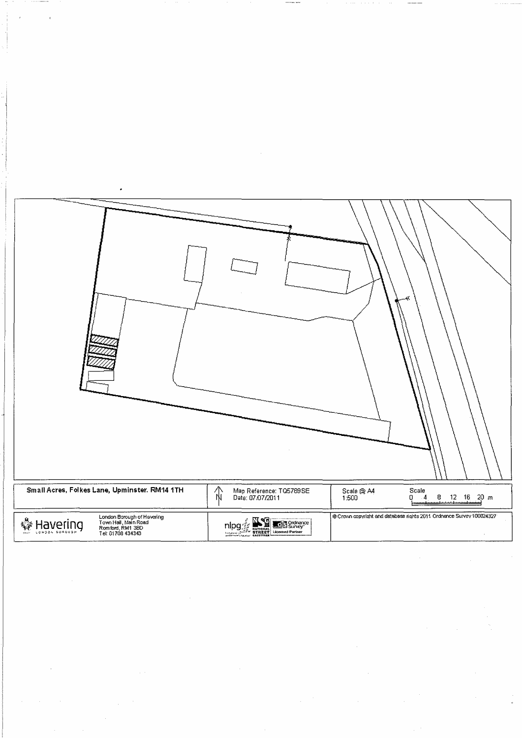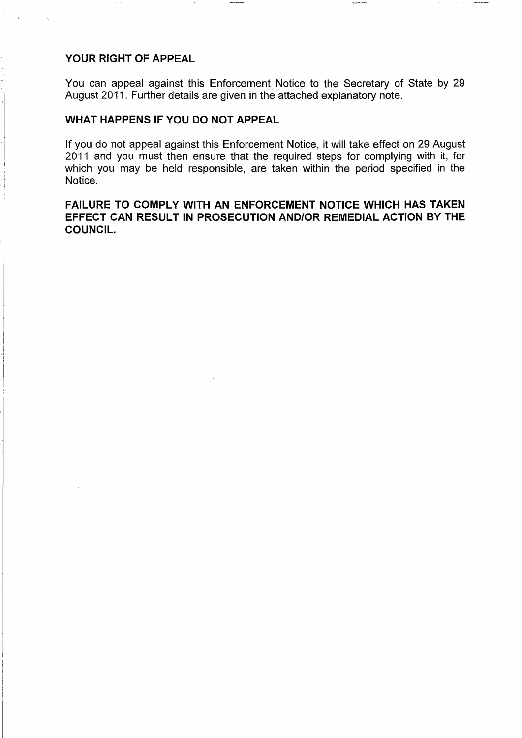### **YOUR RIGHT OF APPEAL**

You can appeal against this Enforcement Notice to the Secretary of State by 29 August 2011. Further details are given in the attached explanatory note.

# **WHAT HAPPENS IF YOU DO NOT APPEAL**

If you do not appeal against this Enforcement Notice, it will take effect on 29 August 2011 and you must then ensure that the required steps for complying with it, for which you may be held responsible, are taken within the period specified in the Notice.

**FAILURE TO COMPLY WITH AN ENFORCEMENT NOTICE WHICH HAS TAKEN EFFECT CAN RESULT IN PROSECUTION AND/OR REMEDIAL ACTION BY THE COUNCIL.**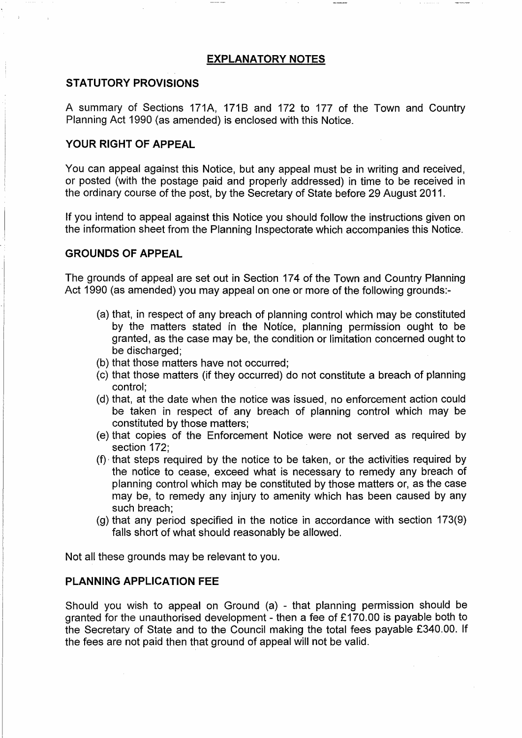#### **EXPLANATORY NOTES**

# **STATUTORY PROVISIONS**

A summary of Sections 171A, 171B and 172 to 177 of the Town and Country Planning Act 1990 (as amended) is enclosed with this Notice.

# **YOUR RIGHT OF APPEAL**

You can appeal against this Notice, but any appeal must be in writing and received, or posted (with the postage paid and properly addressed) in time to be received in the ordinary course of the post, by the Secretary of State before 29 August 2011.

If you intend to appeal against this Notice you should follow the instructions given on the information sheet from the Planning Inspectorate which accompanies this Notice.

### **GROUNDS OF APPEAL**

The grounds of appeal are set out in Section 174 of the Town and Country Planning Act 1990 (as amended) you may appeal on one or more of the following grounds:-

- (a) that, in respect of any breach of planning control which may be constituted by the matters stated in the Notice, planning permission ought to be granted, as the case may be, the condition or limitation concerned ought to be discharged;
- (b) that those matters have not occurred;
- (c) that those matters (if they occurred) do not constitute a breach of planning control;
- (d) that, at the date when the notice was issued, no enforcement action could be taken in respect of any breach of planning control which may be constituted by those matters;
- (e) that copies of the Enforcement Notice were not served as required by section 172;
- (f), that steps required by the notice to be taken, or the activities required by the notice to cease, exceed what is necessary to remedy any breach of planning control which may be constituted by those matters or, as the case may be, to remedy any injury to amenity which has been caused by any such breach;
- (g) that any period specified in the notice in accordance with section 173(9) falls short of what should reasonably be allowed.

Not all these grounds may be relevant to you.

#### **PLANNING APPLICATION FEE**

Should you wish to appeal on Ground (a) - that planning permission should be granted for the unauthorised development - then a fee of £170.00 is payable both to the Secretary of State and to the Council making the total fees payable £340.00. If the fees are not paid then that ground of appeal will not be valid.